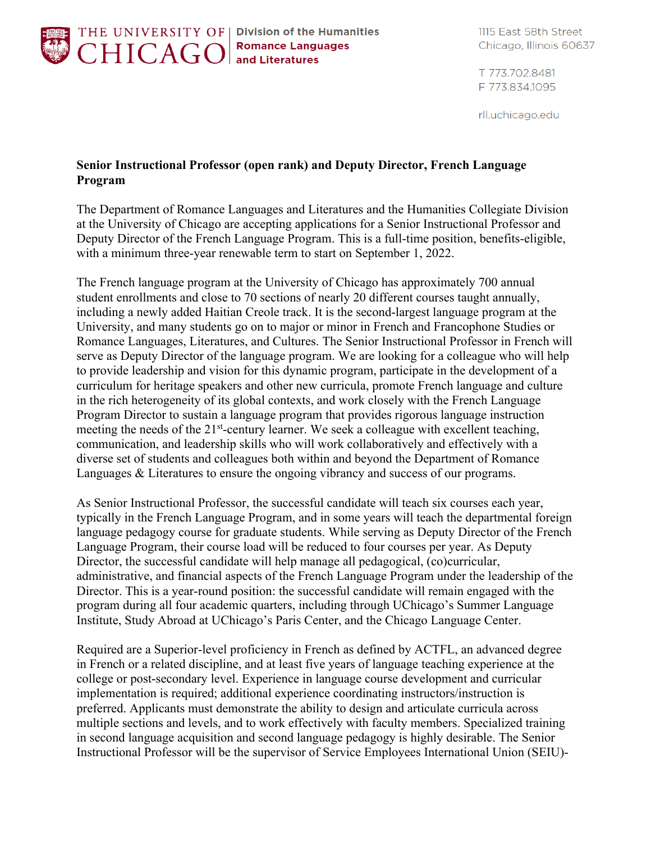

THE UNIVERSITY OF | Division of the Humanities

1115 East 58th Street Chicago, Illinois 60637

T 773.702.8481 F 773.834.1095

rll.uchicago.edu

## **Senior Instructional Professor (open rank) and Deputy Director, French Language Program**

The Department of Romance Languages and Literatures and the Humanities Collegiate Division at the University of Chicago are accepting applications for a Senior Instructional Professor and Deputy Director of the French Language Program. This is a full-time position, benefits-eligible, with a minimum three-year renewable term to start on September 1, 2022.

The French language program at the University of Chicago has approximately 700 annual student enrollments and close to 70 sections of nearly 20 different courses taught annually, including a newly added Haitian Creole track. It is the second-largest language program at the University, and many students go on to major or minor in French and Francophone Studies or Romance Languages, Literatures, and Cultures. The Senior Instructional Professor in French will serve as Deputy Director of the language program. We are looking for a colleague who will help to provide leadership and vision for this dynamic program, participate in the development of a curriculum for heritage speakers and other new curricula, promote French language and culture in the rich heterogeneity of its global contexts, and work closely with the French Language Program Director to sustain a language program that provides rigorous language instruction meeting the needs of the 21<sup>st</sup>-century learner. We seek a colleague with excellent teaching, communication, and leadership skills who will work collaboratively and effectively with a diverse set of students and colleagues both within and beyond the Department of Romance Languages & Literatures to ensure the ongoing vibrancy and success of our programs.

As Senior Instructional Professor, the successful candidate will teach six courses each year, typically in the French Language Program, and in some years will teach the departmental foreign language pedagogy course for graduate students. While serving as Deputy Director of the French Language Program, their course load will be reduced to four courses per year. As Deputy Director, the successful candidate will help manage all pedagogical, (co)curricular, administrative, and financial aspects of the French Language Program under the leadership of the Director. This is a year-round position: the successful candidate will remain engaged with the program during all four academic quarters, including through UChicago's Summer Language Institute, Study Abroad at UChicago's Paris Center, and the Chicago Language Center.

Required are a Superior-level proficiency in French as defined by ACTFL, an advanced degree in French or a related discipline, and at least five years of language teaching experience at the college or post-secondary level. Experience in language course development and curricular implementation is required; additional experience coordinating instructors/instruction is preferred. Applicants must demonstrate the ability to design and articulate curricula across multiple sections and levels, and to work effectively with faculty members. Specialized training in second language acquisition and second language pedagogy is highly desirable. The Senior Instructional Professor will be the supervisor of Service Employees International Union (SEIU)-